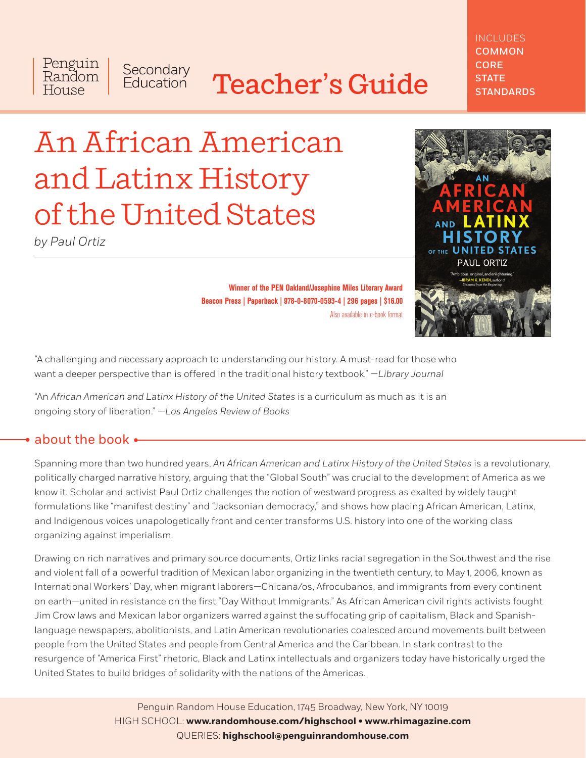# Teacher's Guide

## INCLUDES **COMMON** CORE **STATE STANDARDS**

# An African American and Latinx History of the United States

Secondary<br>Education

*by Paul Ortiz*

Penguin

Random House



**Winner of the PEN Oakland/Josephine Miles Literary Award Beacon Press | Paperback | 978-0-8070-0593-4 | 296 pages | \$16.00** Also available in e-book format

"A challenging and necessary approach to understanding our history. A must-read for those who want a deeper perspective than is offered in the traditional history textbook." *—Library Journal*

"An *African American and Latinx History of the United States* is a curriculum as much as it is an ongoing story of liberation." *—Los Angeles Review of Books*

# about the book

Spanning more than two hundred years, *An African American and Latinx History of the United States* is a revolutionary, politically charged narrative history, arguing that the "Global South" was crucial to the development of America as we know it. Scholar and activist Paul Ortiz challenges the notion of westward progress as exalted by widely taught formulations like "manifest destiny" and "Jacksonian democracy," and shows how placing African American, Latinx, and Indigenous voices unapologetically front and center transforms U.S. history into one of the working class organizing against imperialism.

Drawing on rich narratives and primary source documents, Ortiz links racial segregation in the Southwest and the rise and violent fall of a powerful tradition of Mexican labor organizing in the twentieth century, to May 1, 2006, known as International Workers' Day, when migrant laborers—Chicana/os, Afrocubanos, and immigrants from every continent on earth—united in resistance on the first "Day Without Immigrants." As African American civil rights activists fought Jim Crow laws and Mexican labor organizers warred against the suffocating grip of capitalism, Black and Spanishlanguage newspapers, abolitionists, and Latin American revolutionaries coalesced around movements built between people from the United States and people from Central America and the Caribbean. In stark contrast to the resurgence of "America First" rhetoric, Black and Latinx intellectuals and organizers today have historically urged the United States to build bridges of solidarity with the nations of the Americas.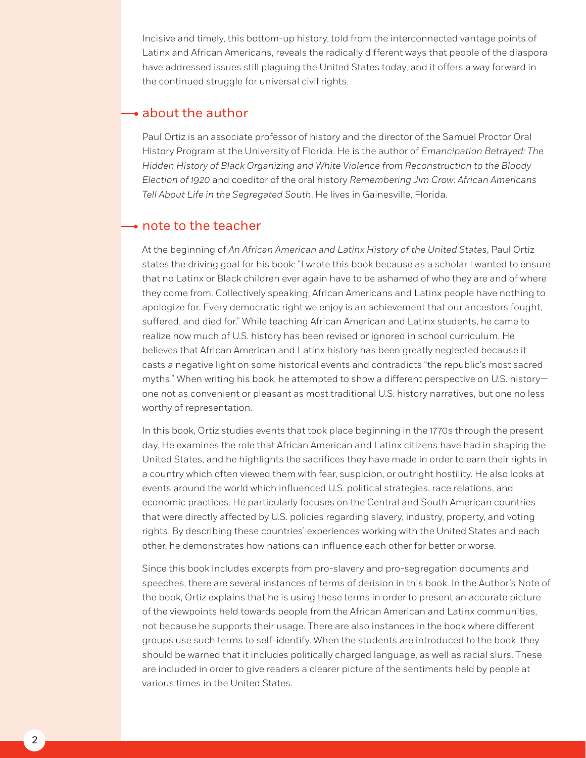Incisive and timely, this bottom-up history, told from the interconnected vantage points of Latinx and African Americans, reveals the radically different ways that people of the diaspora have addressed issues still plaguing the United States today, and it offers a way forward in the continued struggle for universal civil rights.

## $\rightarrow$  about the author

Paul Ortiz is an associate professor of history and the director of the Samuel Proctor Oral History Program at the University of Florida. He is the author of *Emancipation Betrayed: The Hidden History of Black Organizing and White Violence from Reconstruction to the Bloody Election of 1920* and coeditor of the oral history *Remembering Jim Crow: African Americans Tell About Life in the Segregated South*. He lives in Gainesville, Florida.

## $\bullet$  note to the teacher

At the beginning of *An African American and Latinx History of the United States*, Paul Ortiz states the driving goal for his book: "I wrote this book because as a scholar I wanted to ensure that no Latinx or Black children ever again have to be ashamed of who they are and of where they come from. Collectively speaking, African Americans and Latinx people have nothing to apologize for. Every democratic right we enjoy is an achievement that our ancestors fought, suffered, and died for." While teaching African American and Latinx students, he came to realize how much of U.S. history has been revised or ignored in school curriculum. He believes that African American and Latinx history has been greatly neglected because it casts a negative light on some historical events and contradicts "the republic's most sacred myths." When writing his book, he attempted to show a different perspective on U.S. history one not as convenient or pleasant as most traditional U.S. history narratives, but one no less worthy of representation.

In this book, Ortiz studies events that took place beginning in the 1770s through the present day. He examines the role that African American and Latinx citizens have had in shaping the United States, and he highlights the sacrifices they have made in order to earn their rights in a country which often viewed them with fear, suspicion, or outright hostility. He also looks at events around the world which influenced U.S. political strategies, race relations, and economic practices. He particularly focuses on the Central and South American countries that were directly affected by U.S. policies regarding slavery, industry, property, and voting rights. By describing these countries' experiences working with the United States and each other, he demonstrates how nations can influence each other for better or worse.

Since this book includes excerpts from pro-slavery and pro-segregation documents and speeches, there are several instances of terms of derision in this book. In the Author's Note of the book, Ortiz explains that he is using these terms in order to present an accurate picture of the viewpoints held towards people from the African American and Latinx communities, not because he supports their usage. There are also instances in the book where different groups use such terms to self-identify. When the students are introduced to the book, they should be warned that it includes politically charged language, as well as racial slurs. These are included in order to give readers a clearer picture of the sentiments held by people at various times in the United States.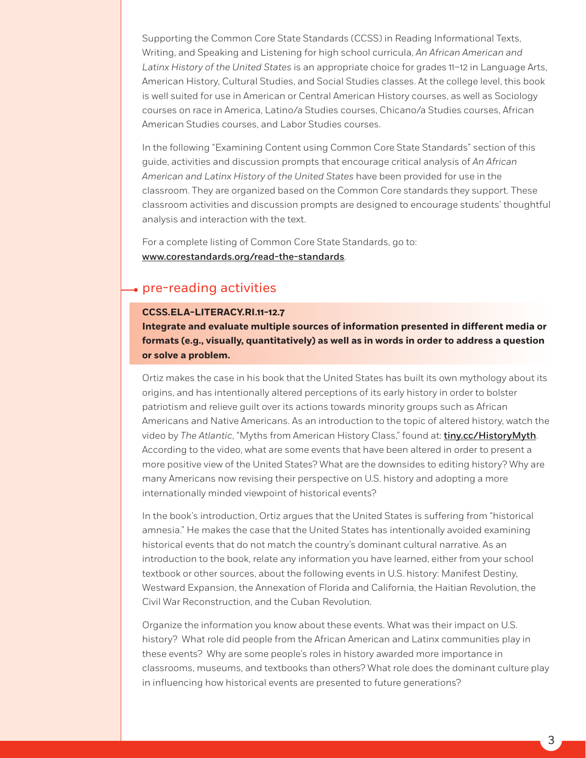Supporting the Common Core State Standards (CCSS) in Reading Informational Texts, Writing, and Speaking and Listening for high school curricula, *An African American and Latinx History of the United States* is an appropriate choice for grades 11–12 in Language Arts, American History, Cultural Studies, and Social Studies classes. At the college level, this book is well suited for use in American or Central American History courses, as well as Sociology courses on race in America, Latino/a Studies courses, Chicano/a Studies courses, African American Studies courses, and Labor Studies courses.

In the following "Examining Content using Common Core State Standards" section of this guide, activities and discussion prompts that encourage critical analysis of *An African American and Latinx History of the United States* have been provided for use in the classroom. They are organized based on the Common Core standards they support. These classroom activities and discussion prompts are designed to encourage students' thoughtful analysis and interaction with the text.

For a complete listing of Common Core State Standards, go to: [www.corestandards.org/read-the-standards](http://www.corestandards.org/read-the-standards).

## pre-reading activities

## **CCSS.ELA-LITERACY.RI.11-12.7**

**Integrate and evaluate multiple sources of information presented in different media or formats (e.g., visually, quantitatively) as well as in words in order to address a question or solve a problem.**

Ortiz makes the case in his book that the United States has built its own mythology about its origins, and has intentionally altered perceptions of its early history in order to bolster patriotism and relieve guilt over its actions towards minority groups such as African Americans and Native Americans. As an introduction to the topic of altered history, watch the video by *The Atlantic*, "Myths from American History Class," found at: [tiny.cc/HistoryMyth](http://tiny.cc/HistoryMyth). According to the video, what are some events that have been altered in order to present a more positive view of the United States? What are the downsides to editing history? Why are many Americans now revising their perspective on U.S. history and adopting a more internationally minded viewpoint of historical events?

In the book's introduction, Ortiz argues that the United States is suffering from "historical amnesia." He makes the case that the United States has intentionally avoided examining historical events that do not match the country's dominant cultural narrative. As an introduction to the book, relate any information you have learned, either from your school textbook or other sources, about the following events in U.S. history: Manifest Destiny, Westward Expansion, the Annexation of Florida and California, the Haitian Revolution, the Civil War Reconstruction, and the Cuban Revolution.

Organize the information you know about these events. What was their impact on U.S. history? What role did people from the African American and Latinx communities play in these events? Why are some people's roles in history awarded more importance in classrooms, museums, and textbooks than others? What role does the dominant culture play in influencing how historical events are presented to future generations?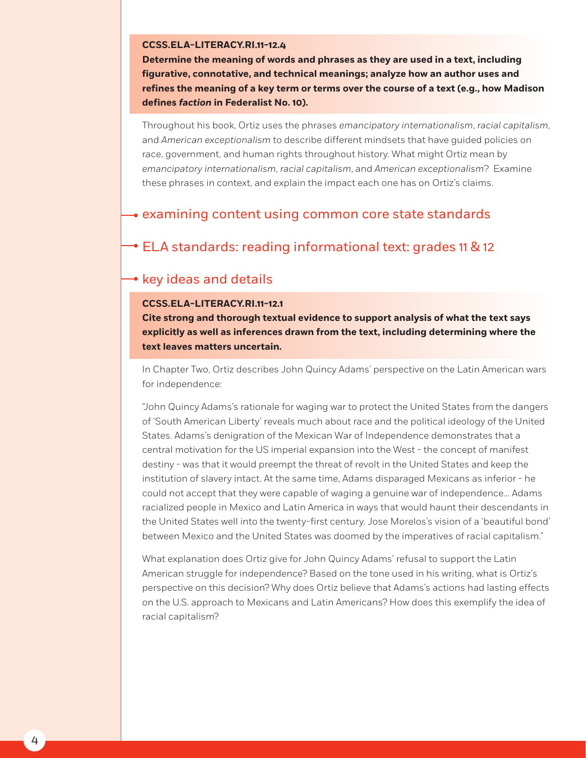#### **CCSS.ELA-LITERACY.RI.11-12.4**

**Determine the meaning of words and phrases as they are used in a text, including figurative, connotative, and technical meanings; analyze how an author uses and refines the meaning of a key term or terms over the course of a text (e.g., how Madison defines** *faction* **in Federalist No. 10).**

Throughout his book, Ortiz uses the phrases *emancipatory internationalism*, *racial capitalism*, and *American exceptionalism* to describe different mindsets that have guided policies on race, government, and human rights throughout history. What might Ortiz mean by *emancipatory internationalism*, *racial capitalism*, and *American exceptionalism*? Examine these phrases in context, and explain the impact each one has on Ortiz's claims.

## $\rightarrow$  examining content using common core state standards

# ELA standards: reading informational text: grades 11 & 12

# • key ideas and details

## **CCSS.ELA-LITERACY.RI.11-12.1**

**Cite strong and thorough textual evidence to support analysis of what the text says explicitly as well as inferences drawn from the text, including determining where the text leaves matters uncertain.**

In Chapter Two, Ortiz describes John Quincy Adams' perspective on the Latin American wars for independence:

"John Quincy Adams's rationale for waging war to protect the United States from the dangers of 'South American Liberty' reveals much about race and the political ideology of the United States. Adams's denigration of the Mexican War of Independence demonstrates that a central motivation for the US imperial expansion into the West - the concept of manifest destiny - was that it would preempt the threat of revolt in the United States and keep the institution of slavery intact. At the same time, Adams disparaged Mexicans as inferior - he could not accept that they were capable of waging a genuine war of independence... Adams racialized people in Mexico and Latin America in ways that would haunt their descendants in the United States well into the twenty-first century. Jose Morelos's vision of a 'beautiful bond' between Mexico and the United States was doomed by the imperatives of racial capitalism."

What explanation does Ortiz give for John Quincy Adams' refusal to support the Latin American struggle for independence? Based on the tone used in his writing, what is Ortiz's perspective on this decision? Why does Ortiz believe that Adams's actions had lasting effects on the U.S. approach to Mexicans and Latin Americans? How does this exemplify the idea of racial capitalism?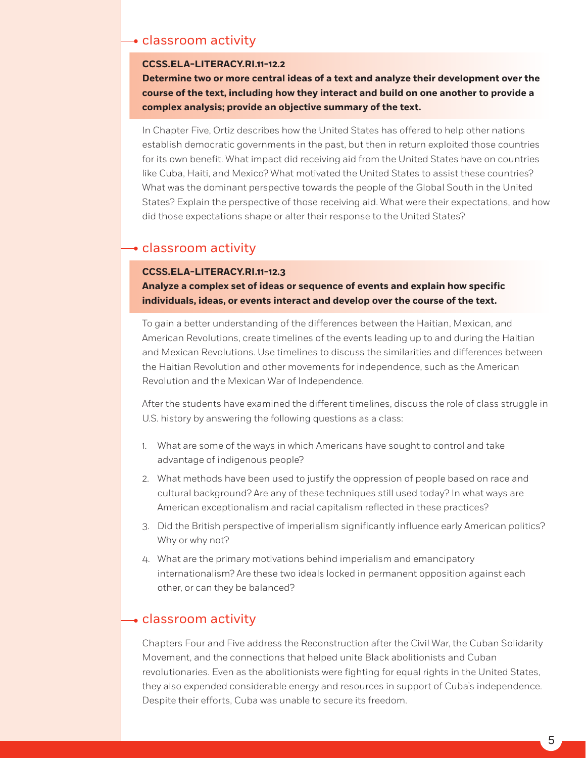## classroom activity

#### **CCSS.ELA-LITERACY.RI.11-12.2**

**Determine two or more central ideas of a text and analyze their development over the course of the text, including how they interact and build on one another to provide a complex analysis; provide an objective summary of the text.**

In Chapter Five, Ortiz describes how the United States has offered to help other nations establish democratic governments in the past, but then in return exploited those countries for its own benefit. What impact did receiving aid from the United States have on countries like Cuba, Haiti, and Mexico? What motivated the United States to assist these countries? What was the dominant perspective towards the people of the Global South in the United States? Explain the perspective of those receiving aid. What were their expectations, and how did those expectations shape or alter their response to the United States?

## classroom activity

### **CCSS.ELA-LITERACY.RI.11-12.3**

**Analyze a complex set of ideas or sequence of events and explain how specific individuals, ideas, or events interact and develop over the course of the text.**

To gain a better understanding of the differences between the Haitian, Mexican, and American Revolutions, create timelines of the events leading up to and during the Haitian and Mexican Revolutions. Use timelines to discuss the similarities and differences between the Haitian Revolution and other movements for independence, such as the American Revolution and the Mexican War of Independence.

After the students have examined the different timelines, discuss the role of class struggle in U.S. history by answering the following questions as a class:

- 1. What are some of the ways in which Americans have sought to control and take advantage of indigenous people?
- 2. What methods have been used to justify the oppression of people based on race and cultural background? Are any of these techniques still used today? In what ways are American exceptionalism and racial capitalism reflected in these practices?
- 3. Did the British perspective of imperialism significantly influence early American politics? Why or why not?
- 4. What are the primary motivations behind imperialism and emancipatory internationalism? Are these two ideals locked in permanent opposition against each other, or can they be balanced?

## $\rightarrow$  classroom activity

Chapters Four and Five address the Reconstruction after the Civil War, the Cuban Solidarity Movement, and the connections that helped unite Black abolitionists and Cuban revolutionaries. Even as the abolitionists were fighting for equal rights in the United States, they also expended considerable energy and resources in support of Cuba's independence. Despite their efforts, Cuba was unable to secure its freedom.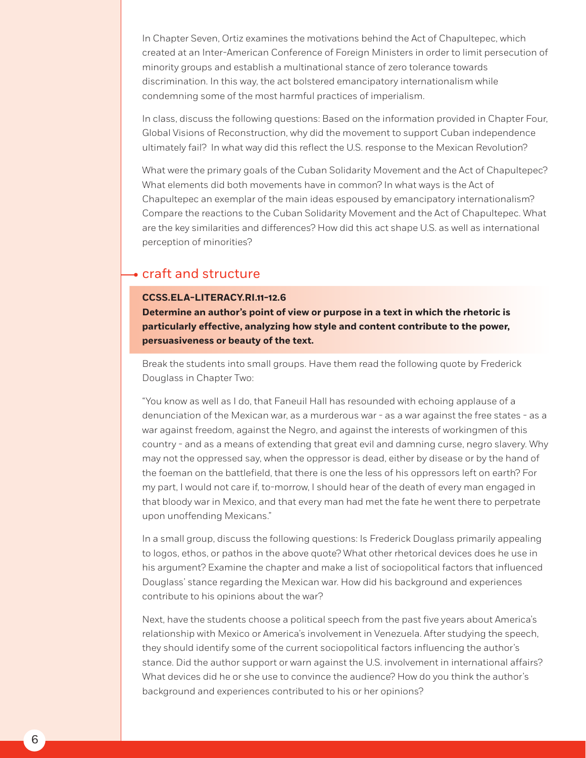In Chapter Seven, Ortiz examines the motivations behind the Act of Chapultepec, which created at an Inter-American Conference of Foreign Ministers in order to limit persecution of minority groups and establish a multinational stance of zero tolerance towards discrimination. In this way, the act bolstered emancipatory internationalism while condemning some of the most harmful practices of imperialism.

In class, discuss the following questions: Based on the information provided in Chapter Four, Global Visions of Reconstruction, why did the movement to support Cuban independence ultimately fail? In what way did this reflect the U.S. response to the Mexican Revolution?

What were the primary goals of the Cuban Solidarity Movement and the Act of Chapultepec? What elements did both movements have in common? In what ways is the Act of Chapultepec an exemplar of the main ideas espoused by emancipatory internationalism? Compare the reactions to the Cuban Solidarity Movement and the Act of Chapultepec. What are the key similarities and differences? How did this act shape U.S. as well as international perception of minorities?

## craft and structure

#### **CCSS.ELA-LITERACY.RI.11-12.6**

**Determine an author's point of view or purpose in a text in which the rhetoric is particularly effective, analyzing how style and content contribute to the power, persuasiveness or beauty of the text.**

Break the students into small groups. Have them read the following quote by Frederick Douglass in Chapter Two:

"You know as well as I do, that Faneuil Hall has resounded with echoing applause of a denunciation of the Mexican war, as a murderous war - as a war against the free states - as a war against freedom, against the Negro, and against the interests of workingmen of this country - and as a means of extending that great evil and damning curse, negro slavery. Why may not the oppressed say, when the oppressor is dead, either by disease or by the hand of the foeman on the battlefield, that there is one the less of his oppressors left on earth? For my part, I would not care if, to-morrow, I should hear of the death of every man engaged in that bloody war in Mexico, and that every man had met the fate he went there to perpetrate upon unoffending Mexicans."

In a small group, discuss the following questions: Is Frederick Douglass primarily appealing to logos, ethos, or pathos in the above quote? What other rhetorical devices does he use in his argument? Examine the chapter and make a list of sociopolitical factors that influenced Douglass' stance regarding the Mexican war. How did his background and experiences contribute to his opinions about the war?

Next, have the students choose a political speech from the past five years about America's relationship with Mexico or America's involvement in Venezuela. After studying the speech, they should identify some of the current sociopolitical factors influencing the author's stance. Did the author support or warn against the U.S. involvement in international affairs? What devices did he or she use to convince the audience? How do you think the author's background and experiences contributed to his or her opinions?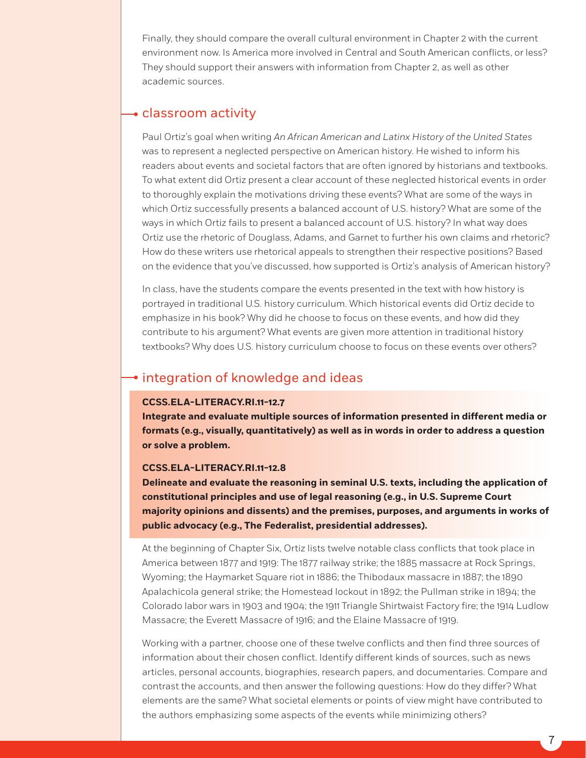Finally, they should compare the overall cultural environment in Chapter 2 with the current environment now. Is America more involved in Central and South American conflicts, or less? They should support their answers with information from Chapter 2, as well as other academic sources.

## classroom activity

Paul Ortiz's goal when writing *An African American and Latinx History of the United States* was to represent a neglected perspective on American history. He wished to inform his readers about events and societal factors that are often ignored by historians and textbooks. To what extent did Ortiz present a clear account of these neglected historical events in order to thoroughly explain the motivations driving these events? What are some of the ways in which Ortiz successfully presents a balanced account of U.S. history? What are some of the ways in which Ortiz fails to present a balanced account of U.S. history? In what way does Ortiz use the rhetoric of Douglass, Adams, and Garnet to further his own claims and rhetoric? How do these writers use rhetorical appeals to strengthen their respective positions? Based on the evidence that you've discussed, how supported is Ortiz's analysis of American history?

In class, have the students compare the events presented in the text with how history is portrayed in traditional U.S. history curriculum. Which historical events did Ortiz decide to emphasize in his book? Why did he choose to focus on these events, and how did they contribute to his argument? What events are given more attention in traditional history textbooks? Why does U.S. history curriculum choose to focus on these events over others?

# **• integration of knowledge and ideas**

## **CCSS.ELA-LITERACY.RI.11-12.7**

**Integrate and evaluate multiple sources of information presented in different media or formats (e.g., visually, quantitatively) as well as in words in order to address a question or solve a problem.**

#### **CCSS.ELA-LITERACY.RI.11-12.8**

**Delineate and evaluate the reasoning in seminal U.S. texts, including the application of constitutional principles and use of legal reasoning (e.g., in U.S. Supreme Court majority opinions and dissents) and the premises, purposes, and arguments in works of public advocacy (e.g., The Federalist, presidential addresses).**

At the beginning of Chapter Six, Ortiz lists twelve notable class conflicts that took place in America between 1877 and 1919: The 1877 railway strike; the 1885 massacre at Rock Springs, Wyoming; the Haymarket Square riot in 1886; the Thibodaux massacre in 1887; the 1890 Apalachicola general strike; the Homestead lockout in 1892; the Pullman strike in 1894; the Colorado labor wars in 1903 and 1904; the 1911 Triangle Shirtwaist Factory fire; the 1914 Ludlow Massacre; the Everett Massacre of 1916; and the Elaine Massacre of 1919.

Working with a partner, choose one of these twelve conflicts and then find three sources of information about their chosen conflict. Identify different kinds of sources, such as news articles, personal accounts, biographies, research papers, and documentaries. Compare and contrast the accounts, and then answer the following questions: How do they differ? What elements are the same? What societal elements or points of view might have contributed to the authors emphasizing some aspects of the events while minimizing others?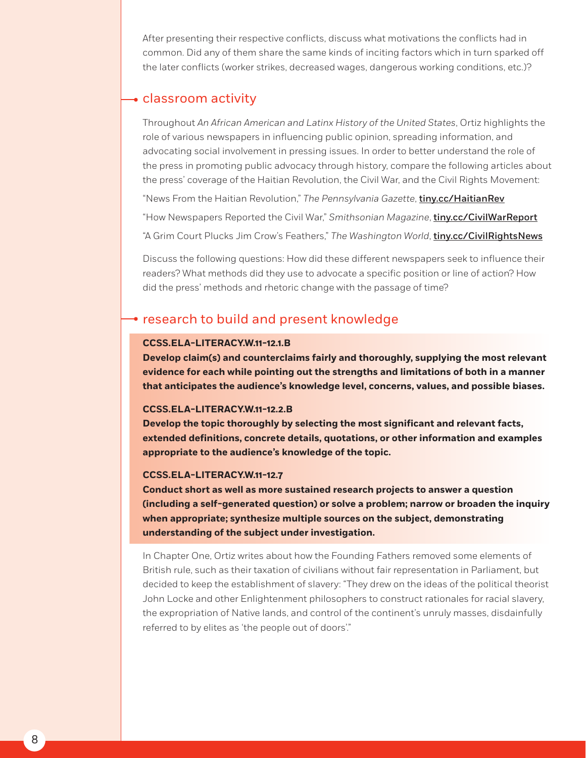After presenting their respective conflicts, discuss what motivations the conflicts had in common. Did any of them share the same kinds of inciting factors which in turn sparked off the later conflicts (worker strikes, decreased wages, dangerous working conditions, etc.)?

# classroom activity

Throughout *An African American and Latinx History of the United States*, Ortiz highlights the role of various newspapers in influencing public opinion, spreading information, and advocating social involvement in pressing issues. In order to better understand the role of the press in promoting public advocacy through history, compare the following articles about the press' coverage of the Haitian Revolution, the Civil War, and the Civil Rights Movement:

"News From the Haitian Revolution," *The Pennsylvania Gazette*, [tiny.cc/HaitianRev](http://tiny.cc/haitianrev)

"How Newspapers Reported the Civil War," *Smithsonian Magazine*, [tiny.cc/CivilWarReport](http://tiny.cc/civilwarreport)

"A Grim Court Plucks Jim Crow's Feathers," *The Washington World*, [tiny.cc/CivilRightsNews](http://tiny.cc/civilrightsnews)

Discuss the following questions: How did these different newspapers seek to influence their readers? What methods did they use to advocate a specific position or line of action? How did the press' methods and rhetoric change with the passage of time?

# • research to build and present knowledge

## **CCSS.ELA-LITERACY.W.11-12.1.B**

**Develop claim(s) and counterclaims fairly and thoroughly, supplying the most relevant evidence for each while pointing out the strengths and limitations of both in a manner that anticipates the audience's knowledge level, concerns, values, and possible biases.**

#### **CCSS.ELA-LITERACY.W.11-12.2.B**

**Develop the topic thoroughly by selecting the most significant and relevant facts, extended definitions, concrete details, quotations, or other information and examples appropriate to the audience's knowledge of the topic.**

#### **CCSS.ELA-LITERACY.W.11-12.7**

**Conduct short as well as more sustained research projects to answer a question (including a self-generated question) or solve a problem; narrow or broaden the inquiry when appropriate; synthesize multiple sources on the subject, demonstrating understanding of the subject under investigation.**

In Chapter One, Ortiz writes about how the Founding Fathers removed some elements of British rule, such as their taxation of civilians without fair representation in Parliament, but decided to keep the establishment of slavery: "They drew on the ideas of the political theorist John Locke and other Enlightenment philosophers to construct rationales for racial slavery, the expropriation of Native lands, and control of the continent's unruly masses, disdainfully referred to by elites as 'the people out of doors'."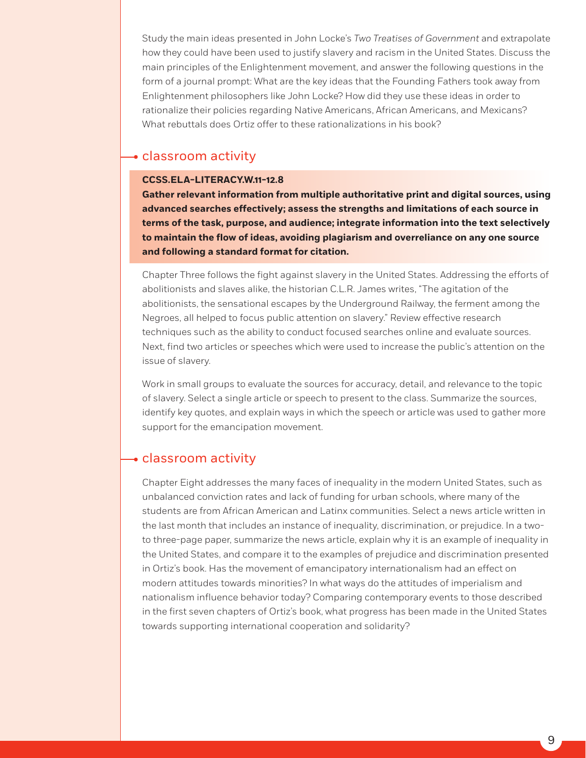Study the main ideas presented in John Locke's *Two Treatises of Government* and extrapolate how they could have been used to justify slavery and racism in the United States. Discuss the main principles of the Enlightenment movement, and answer the following questions in the form of a journal prompt: What are the key ideas that the Founding Fathers took away from Enlightenment philosophers like John Locke? How did they use these ideas in order to rationalize their policies regarding Native Americans, African Americans, and Mexicans? What rebuttals does Ortiz offer to these rationalizations in his book?

# **-** classroom activity

## **CCSS.ELA-LITERACY.W.11-12.8**

**Gather relevant information from multiple authoritative print and digital sources, using advanced searches effectively; assess the strengths and limitations of each source in terms of the task, purpose, and audience; integrate information into the text selectively to maintain the flow of ideas, avoiding plagiarism and overreliance on any one source and following a standard format for citation.**

Chapter Three follows the fight against slavery in the United States. Addressing the efforts of abolitionists and slaves alike, the historian C.L.R. James writes, "The agitation of the abolitionists, the sensational escapes by the Underground Railway, the ferment among the Negroes, all helped to focus public attention on slavery." Review effective research techniques such as the ability to conduct focused searches online and evaluate sources. Next, find two articles or speeches which were used to increase the public's attention on the issue of slavery.

Work in small groups to evaluate the sources for accuracy, detail, and relevance to the topic of slavery. Select a single article or speech to present to the class. Summarize the sources, identify key quotes, and explain ways in which the speech or article was used to gather more support for the emancipation movement.

## classroom activity

Chapter Eight addresses the many faces of inequality in the modern United States, such as unbalanced conviction rates and lack of funding for urban schools, where many of the students are from African American and Latinx communities. Select a news article written in the last month that includes an instance of inequality, discrimination, or prejudice. In a twoto three-page paper, summarize the news article, explain why it is an example of inequality in the United States, and compare it to the examples of prejudice and discrimination presented in Ortiz's book. Has the movement of emancipatory internationalism had an effect on modern attitudes towards minorities? In what ways do the attitudes of imperialism and nationalism influence behavior today? Comparing contemporary events to those described in the first seven chapters of Ortiz's book, what progress has been made in the United States towards supporting international cooperation and solidarity?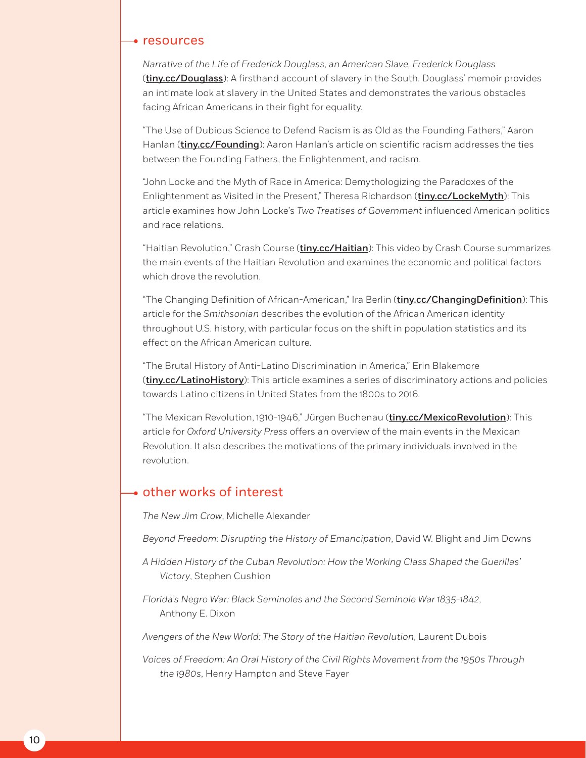#### • resources

*Narrative of the Life of Frederick Douglass, an American Slave, Frederick Douglass* ([tiny.cc/Douglass](http://tiny.cc/Douglass)): A firsthand account of slavery in the South. Douglass' memoir provides an intimate look at slavery in the United States and demonstrates the various obstacles facing African Americans in their fight for equality.

"The Use of Dubious Science to Defend Racism is as Old as the Founding Fathers," Aaron Hanlan ([tiny.cc/Founding](http://tiny.cc/Founding)): Aaron Hanlan's article on scientific racism addresses the ties between the Founding Fathers, the Enlightenment, and racism.

"John Locke and the Myth of Race in America: Demythologizing the Paradoxes of the Enlightenment as Visited in the Present," Theresa Richardson ([tiny.cc/LockeMyth](http://tiny.cc/LockeMyth)): This article examines how John Locke's *Two Treatises of Government* influenced American politics and race relations.

"Haitian Revolution," Crash Course ([tiny.cc/Haitian](http://tiny.cc/Haitian)): This video by Crash Course summarizes the main events of the Haitian Revolution and examines the economic and political factors which drove the revolution.

"The Changing Definition of African-American," Ira Berlin (*[tiny.cc/ChangingDefinition](http://tiny.cc/ChangingDefinition)*): This article for the *Smithsonian* describes the evolution of the African American identity throughout U.S. history, with particular focus on the shift in population statistics and its effect on the African American culture.

"The Brutal History of Anti-Latino Discrimination in America," Erin Blakemore ([tiny.cc/LatinoHistory](http://tiny.cc/LatinoHistory)): This article examines a series of discriminatory actions and policies towards Latino citizens in United States from the 1800s to 2016.

"The Mexican Revolution, 1910-1946," Jürgen Buchenau ([tiny.cc/MexicoRevolution](http://tiny.cc/MexicoRevolution)): This article for *Oxford University Press* offers an overview of the main events in the Mexican Revolution. It also describes the motivations of the primary individuals involved in the revolution.

## other works of interest

*The New Jim Crow*, Michelle Alexander

*Beyond Freedom: Disrupting the History of Emancipation*, David W. Blight and Jim Downs

*A Hidden History of the Cuban Revolution: How the Working Class Shaped the Guerillas' Victory*, Stephen Cushion

*Florida's Negro War: Black Seminoles and the Second Seminole War 1835-1842*, Anthony E. Dixon

*Avengers of the New World: The Story of the Haitian Revolution*, Laurent Dubois

*Voices of Freedom: An Oral History of the Civil Rights Movement from the 1950s Through the 1980s*, Henry Hampton and Steve Fayer